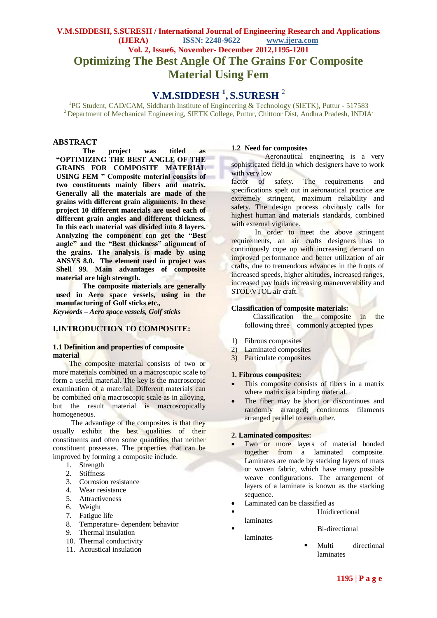# **V.M.SIDDESH, S.SURESH / International Journal of Engineering Research and Applications (IJERA) ISSN: 2248-9622 www.ijera.com Vol. 2, Issue6, November- December 2012,1195-1201 Optimizing The Best Angle Of The Grains For Composite Material Using Fem**

# **V.M.SIDDESH <sup>1</sup> , S.SURESH** <sup>2</sup>

<sup>1</sup>PG Student, CAD/CAM, Siddharth Institute of Engineering & Technology (SIETK), Puttur - 517583 <sup>2</sup> Department of Mechanical Engineering, SIETK College, Puttur, Chittoor Dist, Andhra Pradesh, INDIA<sup>.</sup>

### **ABSTRACT**

**The project was titled as "OPTIMIZING THE BEST ANGLE OF THE GRAINS FOR COMPOSITE MATERIAL USING FEM " Composite material consists of two constituents mainly fibers and matrix. Generally all the materials are made of the grains with different grain alignments. In these project 10 different materials are used each of different grain angles and different thickness. In this each material was divided into 8 layers. Analyzing the component can get the "Best angle" and the "Best thickness" alignment of the grains. The analysis is made by using ANSYS 8.0. The element used in project was Shell 99. Main advantages of composite material are high strength.**

**The composite materials are generally used in Aero space vessels, using in the manufacturing of Golf sticks etc.,**

*Keywords* **–** *Aero space vessels, Golf sticks*

### **I.INTRODUCTION TO COMPOSITE:**

#### **1.1 Definition and properties of composite material**

 The composite material consists of two or more materials combined on a macroscopic scale to form a useful material. The key is the macroscopic examination of a material. Different materials can be combined on a macroscopic scale as in alloying, but the result material is macroscopically homogeneous.

The advantage of the composites is that they usually exhibit the best qualities of their constituents and often some quantities that neither constituent possesses. The properties that can be improved by forming a composite include.

- 1. Strength
- 2. Stiffness
- 3. Corrosion resistance
- 4. Wear resistance
- 5. Attractiveness
- 6. Weight
- 7. Fatigue life
- 8. Temperature- dependent behavior
- 9. Thermal insulation
- 10. Thermal conductivity
- 11. Acoustical insulation

#### **1.2 Need for composites**

Aeronautical engineering is a very sophisticated field in which designers have to work with very low

factor of safety. The requirements and specifications spelt out in aeronautical practice are extremely stringent, maximum reliability and safety. The design process obviously calls for highest human and materials standards, combined with external vigilance.

 In order to meet the above stringent requirements, an air crafts designers has to continuously cope up with increasing demand on improved performance and better utilization of air crafts, due to tremendous advances in the fronts of increased speeds, higher altitudes, increased ranges, increased pay loads increasing maneuverability and STOL\VTOL air craft.

#### **Classification of composite materials:**

 Classification the composite in the following three commonly accepted types

- 1) Fibrous composites
- 2) Laminated composites
- 3) Particulate composites

#### **1. Fibrous composites:**

- This composite consists of fibers in a matrix where matrix is a binding material.
- The fiber may be short or discontinues and randomly arranged; continuous filaments arranged parallel to each other.

#### **2. Laminated composites:**

- Two or more layers of material bonded together from a laminated composite. Laminates are made by stacking layers of mats or woven fabric, which have many possible weave configurations. The arrangement of layers of a laminate is known as the stacking sequence.
- Laminated can be classified as
- Unidirectional
	- laminates Bi-directional

laminates

 Multi directional laminates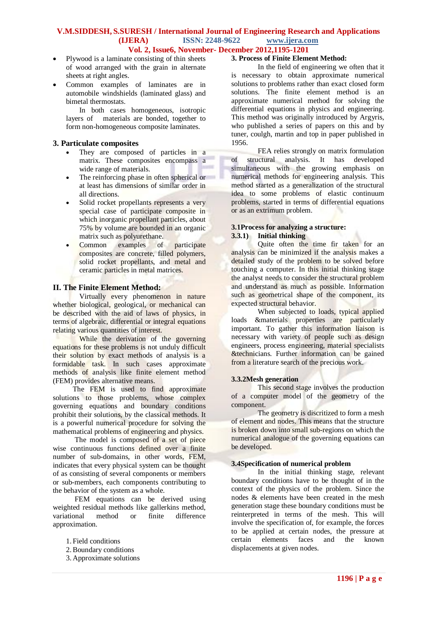### **V.M.SIDDESH, S.SURESH / International Journal of Engineering Research and Applications (IJERA) ISSN: 2248-9622 www.ijera.com Vol. 2, Issue6, November- December 2012,1195-1201**

- Plywood is a laminate consisting of thin sheets of wood arranged with the grain in alternate sheets at right angles.
- Common examples of laminates are in automobile windshields (laminated glass) and bimetal thermostats.

In both cases homogeneous, isotropic layers of materials are bonded, together to form non-homogeneous composite laminates.

### **3. Particulate composites**

- They are composed of particles in a matrix. These composites encompass a wide range of materials.
- The reinforcing phase in often spherical or at least has dimensions of similar order in all directions.
- Solid rocket propellants represents a very special case of participate composite in which inorganic propellant particles, about 75% by volume are bounded in an organic matrix such as polyurethane.
- Common examples of participate composites are concrete, filled polymers, solid rocket propellants, and metal and ceramic particles in metal matrices.

### **II. The Finite Element Method:**

Virtually every phenomenon in nature whether biological, geological, or mechanical can be described with the aid of laws of physics, in terms of algebraic, differential or integral equations relating various quantities of interest.

While the derivation of the governing equations for these problems is not unduly difficult their solution by exact methods of analysis is a formidable task. In such cases approximate methods of analysis like finite element method (FEM) provides alternative means.

The FEM is used to find approximate solutions to those problems, whose complex governing equations and boundary conditions prohibit their solutions, by the classical methods. It is a powerful numerical procedure for solving the mathematical problems of engineering and physics.

The model is composed of a set of piece wise continuous functions defined over a finite number of sub-domains, in other words, FEM, indicates that every physical system can be thought of as consisting of several components or members or sub-members, each components contributing to the behavior of the system as a whole.

FEM equations can be derived using weighted residual methods like gallerkins method, variational method or finite difference approximation.

- 1. Field conditions
- 2.Boundary conditions
- 3. Approximate solutions

### **3. Process of Finite Element Method:**

In the field of engineering we often that it is necessary to obtain approximate numerical solutions to problems rather than exact closed form solutions. The finite element method is an approximate numerical method for solving the differential equations in physics and engineering. This method was originally introduced by Argyris, who published a series of papers on this and by tuner, coulgh, martin and top in paper published in 1956.

FEA relies strongly on matrix formulation of structural analysis. It has developed simultaneous with the growing emphasis on numerical methods for engineering analysis. This method started as a generalization of the structural idea to some problems of elastic continuum problems, started in terms of differential equations or as an extrimum problem.

### **3.1Process for analyzing a structure: 3.3.1) Initial thinking**

Quite often the time fir taken for an analysis can be minimized if the analysis makes a detailed study of the problem to be solved before touching a computer. In this initial thinking stage the analyst needs to consider the structural problem and understand as much as possible. Information such as geometrical shape of the component, its expected structural behavior.

When subjected to loads, typical applied loads &materials properties are particularly important. To gather this information liaison is necessary with variety of people such as design engineers, process engineering, material specialists &technicians. Further information can be gained from a literature search of the precious work.

### **3.3.2Mesh generation**

This second stage involves the production of a computer model of the geometry of the component.

The geometry is discritized to form a mesh of element and nodes. This means that the structure is broken down into small sub-regions on which the numerical analogue of the governing equations can be developed.

# **3.4Specification of numerical problem**

In the initial thinking stage, relevant boundary conditions have to be thought of in the context of the physics of the problem. Since the nodes & elements have been created in the mesh generation stage these boundary conditions must be reinterpreted in terms of the mesh. This will involve the specification of, for example, the forces to be applied at certain nodes, the pressure at certain elements faces and the known displacements at given nodes.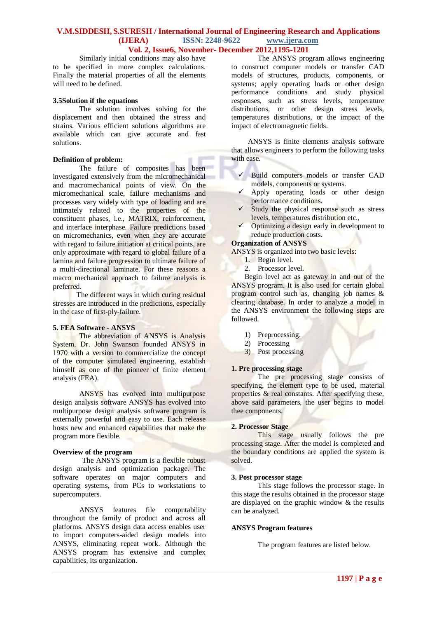### **V.M.SIDDESH, S.SURESH / International Journal of Engineering Research and Applications (IJERA) ISSN: 2248-9622 www.ijera.com Vol. 2, Issue6, November- December 2012,1195-1201**

Similarly initial conditions may also have to be specified in more complex calculations. Finally the material properties of all the elements will need to be defined.

#### **3.5Solution if the equations**

The solution involves solving for the displacement and then obtained the stress and strains. Various efficient solutions algorithms are available which can give accurate and fast solutions.

### **Definition of problem:**

The failure of composites has been investigated extensively from the micromechanical and macromechanical points of view. On the micromechanical scale, failure mechanisms and processes vary widely with type of loading and are intimately related to the properties of the constituent phases, i.e., MATRIX, reinforcement, and interface interphase. Failure predictions based on micromechanics, even when they are accurate with regard to failure initiation at critical points, are only approximate with regard to global failure of a lamina and failure progression to ultimate failure of a multi-directional laminate. For these reasons a macro mechanical approach to failure analysis is preferred.

The different ways in which curing residual stresses are introduced in the predictions, especially in the case of first-ply-failure.

#### **5. FEA Software - ANSYS**

The abbreviation of ANSYS is Analysis System. Dr. John Swanson founded ANSYS in 1970 with a version to commercialize the concept of the computer simulated engineering, establish himself as one of the pioneer of finite element analysis (FEA).

ANSYS has evolved into multipurpose design analysis software ANSYS has evolved into multipurpose design analysis software program is externally powerful and easy to use. Each release hosts new and enhanced capabilities that make the program more flexible.

#### **Overview of the program**

The ANSYS program is a flexible robust design analysis and optimization package. The software operates on major computers and operating systems, from PCs to workstations to supercomputers.

ANSYS features file computability throughout the family of product and across all platforms. ANSYS design data access enables user to import computers-aided design models into ANSYS, eliminating repeat work. Although the ANSYS program has extensive and complex capabilities, its organization.

The ANSYS program allows engineering to construct computer models or transfer CAD models of structures, products, components, or systems; apply operating loads or other design performance conditions and study physical responses, such as stress levels, temperature distributions, or other design stress levels, temperatures distributions, or the impact of the impact of electromagnetic fields.

ANSYS is finite elements analysis software that allows engineers to perform the following tasks with ease.

- $\checkmark$  Build computers models or transfer CAD models, components or systems.
- $\checkmark$  Apply operating loads or other design performance conditions.
- $\checkmark$  Study the physical response such as stress levels, temperatures distribution etc.,
- $\checkmark$  Optimizing a design early in development to reduce production costs.

#### **Organization of ANSYS**

ANSYS is organized into two basic levels:

- 1. Begin level.
- 2. Processor level.

Begin level act as gateway in and out of the ANSYS program. It is also used for certain global program control such as, changing job names & clearing database. In order to analyze a model in the ANSYS environment the following steps are followed.

- 1) Preprocessing.
- 2) Processing
- 3) Post processing

### **1. Pre processing stage**

The pre processing stage consists of specifying, the element type to be used, material properties & real constants. After specifying these, above said parameters, the user begins to model thee components.

#### **2. Processor Stage**

This stage usually follows the pre processing stage. After the model is completed and the boundary conditions are applied the system is solved.

#### **3. Post processor stage**

This stage follows the processor stage. In this stage the results obtained in the processor stage are displayed on the graphic window & the results can be analyzed.

#### **ANSYS Program features**

The program features are listed below.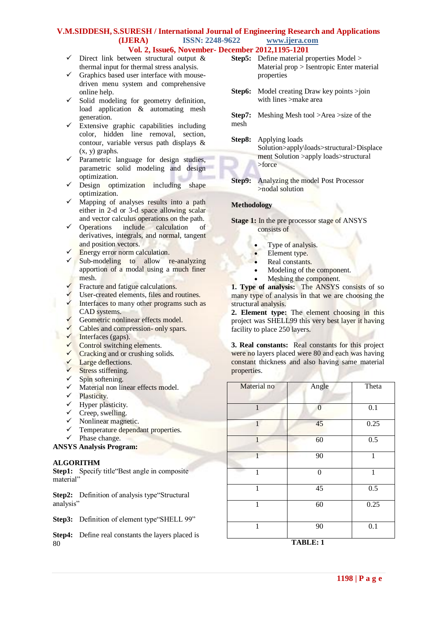# **V.M.SIDDESH, S.SURESH / International Journal of Engineering Research and Applications (IJERA) ISSN: 2248-9622 www.ijera.com**

### **Vol. 2, Issue6, November- December 2012,1195-1201**

- $\checkmark$  Direct link between structural output & thermal input for thermal stress analysis.
- Graphics based user interface with mousedriven menu system and comprehensive online help.
- $\checkmark$  Solid modeling for geometry definition, load application & automating mesh generation.
- $\checkmark$  Extensive graphic capabilities including color, hidden line removal, section, contour, variable versus path displays & (x, y) graphs.
- $\checkmark$  Parametric language for design studies, parametric solid modeling and design optimization.
- $\checkmark$  Design optimization including shape optimization.
- $\checkmark$  Mapping of analyses results into a path either in 2-d or 3-d space allowing scalar and vector calculus operations on the path.<br> $\checkmark$  Onerations include calculation of
- include calculation of derivatives, integrals, and normal, tangent and position vectors.
- Energy error norm calculation.
- $\checkmark$  Sub-modeling to allow re-analyzing apportion of a modal using a much finer mesh.
- Fracture and fatigue calculations.
- $\checkmark$  User-created elements, files and routines.  $\checkmark$  Interfaces to many other programs such as
- CAD systems.
- Geometric nonlinear effects model.
- $\checkmark$  Cables and compression- only spars.
- $\checkmark$  Interfaces (gaps).
- Control switching elements.
- $\checkmark$  Cracking and or crushing solids.
- Large deflections.
- $\checkmark$  Stress stiffening.
- $\checkmark$  Spin softening.
- $\checkmark$  Material non linear effects model.
- $\checkmark$  Plasticity.
- $\checkmark$  Hyper plasticity.
- $\checkmark$  Creep, swelling.
- $\checkmark$  Nonlinear magnetic.
- $\checkmark$  Temperature dependant properties.
- $\checkmark$  Phase change.

# **ANSYS Analysis Program:**

# **ALGORITHM**

**Step1:** Specify title "Best angle in composite" material"

**Step2:** Definition of analysis type "Structural" analysis"

**Step3:** Definition of element type"SHELL 99"

**Step4:** Define real constants the layers placed is 80

- **Step5:** Define material properties Model > Material prop > Isentropic Enter material properties
- **Step6:** Model creating Draw key points  $>$ join with lines >make area
- **Step7:** Meshing Mesh tool >Area >size of the mesh
- **Step8:** Applying loads Solution>apply\loads>structural>Displace ment Solution >apply loads>structural >force
- **Step9:** Analyzing the model Post Processor >nodal solution

### **Methodology**

- **Stage 1:** In the pre processor stage of ANSYS consists of
	- Type of analysis.
	- Element type.
	- Real constants.
	- Modeling of the component.
	- Meshing the component.

**1. Type of analysis:** The ANSYS consists of so many type of analysis in that we are choosing the structural analysis.

**2. Element type:** The element choosing in this project was SHELL99 this very best layer it having facility to place 250 layers.

**3. Real constants:** Real constants for this project were no layers placed were 80 and each was having constant thickness and also having same material properties.

| Material no  | Angle            | Theta        |
|--------------|------------------|--------------|
| $\mathbf{1}$ | $\boldsymbol{0}$ | 0.1          |
| 1            | 45               | 0.25         |
| $\mathbf{1}$ | 60               | 0.5          |
| 1            | 90               | $\mathbf{1}$ |
| 1            | $\mathbf{0}$     | $\mathbf{1}$ |
| 1            | 45               | 0.5          |
| 1            | 60               | 0.25         |
| 1            | 90               | 0.1          |

**TABLE: 1**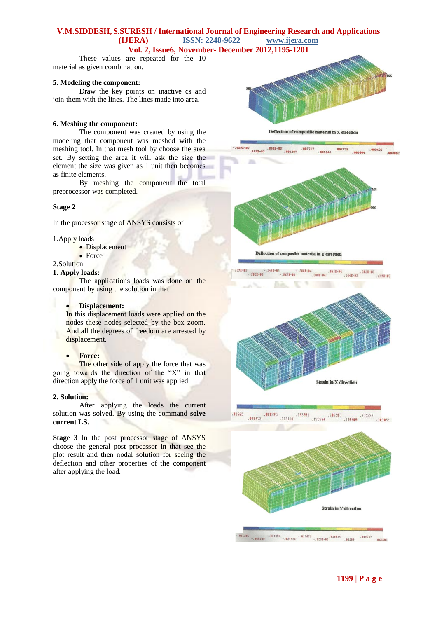### **V.M.SIDDESH, S.SURESH / International Journal of Engineering Research and Applications (IJERA) ISSN: 2248-9622 www.ijera.com**

### **Vol. 2, Issue6, November- December 2012,1195-1201**

These values are repeated for the 10 material as given combination.

#### **5. Modeling the component:**

Draw the key points on inactive cs and join them with the lines. The lines made into area.

#### **6. Meshing the component:**

The component was created by using the modeling that component was meshed with the meshing tool. In that mesh tool by choose the area set. By setting the area it will ask the size the element the size was given as 1 unit then becomes as finite elements.

By meshing the component the total preprocessor was completed.

#### **Stage 2**

In the processor stage of ANSYS consists of

1.Apply loads

- Displacement
- Force
- 2.Solution

### **1. Apply loads:**

The applications loads was done on the component by using the solution in that

#### **Displacement:**

In this displacement loads were applied on the nodes these nodes selected by the box zoom. And all the degrees of freedom are arrested by displacement.

#### **Force:**

The other side of apply the force that was going towards the direction of the "X" in that direction apply the force of 1 unit was applied.

#### **2. Solution:**

After applying the loads the current solution was solved. By using the command **solve current LS.**

**Stage 3** In the post processor stage of ANSYS choose the general post processor in that see the plot result and then nodal solution for seeing the deflection and other properties of the component after applying the load.



Deflection of compositte material in X direction





.048472 .088295  $.112118$   $.143941$ 81665  $.271232$ <br> $.275764$ <br> $.239489$ 383855

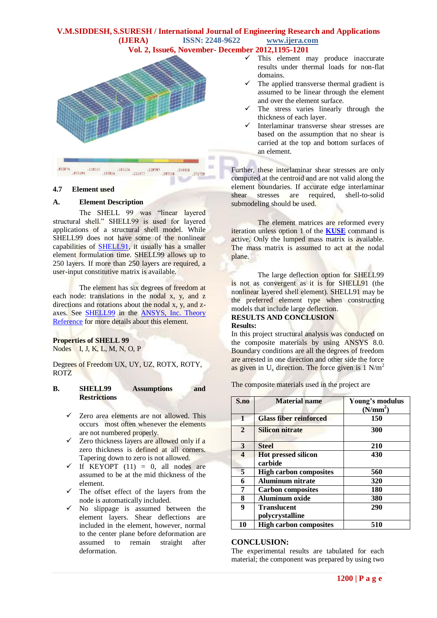# **V.M.SIDDESH, S.SURESH / International Journal of Engineering Research and Applications (IJERA) ISSN: 2248-9622 www.ijera.com**





### **4.7 Element used**

### **A. Element Description**

The SHELL 99 was "linear layered structural shell." SHELL99 is used for layered applications of a structural shell model. While SHELL99 does not have some of the nonlinear capabilities of [SHELL91,](../../../NEW/mk:@MSITStore:g:/Program%20Files/Ansys%20Inc/v80/commonfiles/help/en-us/ansyshelp.chm::/Hlp_E_SHELL91.html) it usually has a smaller element formulation time. SHELL99 allows up to 250 layers. If more than 250 layers are required, a user-input constitutive matrix is available.

The element has six degrees of freedom at each node: translations in the nodal x, y, and z directions and rotations about the nodal x, y, and zaxes. See [SHELL99](../../../NEW/mk:@MSITStore:g:/Program%20Files/Ansys%20Inc/v80/commonfiles/help/en-us/ansyshelp.chm::/thy_el99.html) in the [ANSYS, Inc. Theory](../../../NEW/mk:@MSITStore:g:/Program%20Files/Ansys%20Inc/v80/commonfiles/help/en-us/ansyshelp.chm::/theory_toc.html)  [Reference](../../../NEW/mk:@MSITStore:g:/Program%20Files/Ansys%20Inc/v80/commonfiles/help/en-us/ansyshelp.chm::/theory_toc.html) for more details about this element.

### **Properties of SHELL 99**

Nodes I, J, K, L, M, N, O, P

Degrees of Freedom UX, UY, UZ, ROTX, ROTY, ROTZ

### **B. SHELL99 Assumptions and Restrictions**

- $\checkmark$  Zero area elements are not allowed. This occurs most often whenever the elements are not numbered properly.
- $\checkmark$  Zero thickness layers are allowed only if a zero thickness is defined at all corners. Tapering down to zero is not allowed.
- If KEYOPT  $(11) = 0$ , all nodes are assumed to be at the mid thickness of the element.
- $\checkmark$  The offset effect of the layers from the node is automatically included.
- $\checkmark$  No slippage is assumed between the element layers. Shear deflections are included in the element, however, normal to the center plane before deformation are assumed to remain straight after deformation.
- $\checkmark$  This element may produce inaccurate results under thermal loads for non-flat domains.
- The applied transverse thermal gradient is assumed to be linear through the element and over the element surface.
- The stress varies linearly through the thickness of each layer.
- Interlaminar transverse shear stresses are based on the assumption that no shear is carried at the top and bottom surfaces of an element.

Further, these interlaminar shear stresses are only computed at the centroid and are not valid along the element boundaries. If accurate edge interlaminar shear stresses are required, shell-to-solid submodeling should be used.

The element matrices are reformed every iteration unless option 1 of the **[KUSE](../../../NEW/mk:@MSITStore:g:/Program%20Files/Ansys%20Inc/v80/commonfiles/help/en-us/ansyshelp.chm::/Hlp_C_KUSE.html)** command is active. Only the lumped mass matrix is available. The mass matrix is assumed to act at the nodal plane.

The large deflection option for SHELL99 is not as convergent as it is for SHELL91 (the nonlinear layered shell element). SHELL91 may be the preferred element type when constructing models that include large deflection. **RESULTS AND CONCLUSION**

#### **Results:**

In this project structural analysis was conducted on the composite materials by using ANSYS 8.0. Boundary conditions are all the degrees of freedom are arrested in one direction and other side the force as given in  $U_x$  direction. The force given is 1 N/m<sup>2</sup>

The composite materials used in the project are

| S.no         | <b>Material name</b>                  | Young's modulus<br>(N/mm <sup>2</sup> ) |
|--------------|---------------------------------------|-----------------------------------------|
| $\mathbf{1}$ | <b>Glass fiber reinforced</b>         | 150                                     |
| $\mathbf{2}$ | <b>Silicon nitrate</b>                | 300                                     |
| 3            | <b>Steel</b>                          | 210                                     |
| 4            | <b>Hot pressed silicon</b><br>carbide | 430                                     |
| 5            | <b>High carbon composites</b>         | 560                                     |
| 6            | <b>Aluminum nitrate</b>               | 320                                     |
| 7            | <b>Carbon composites</b>              | 180                                     |
| 8            | <b>Aluminum oxide</b>                 | 380                                     |
| 9            | <b>Translucent</b><br>polycrystalline | 290                                     |
| 10           | <b>High carbon composites</b>         | 510                                     |

### **CONCLUSION:**

The experimental results are tabulated for each material; the component was prepared by using two